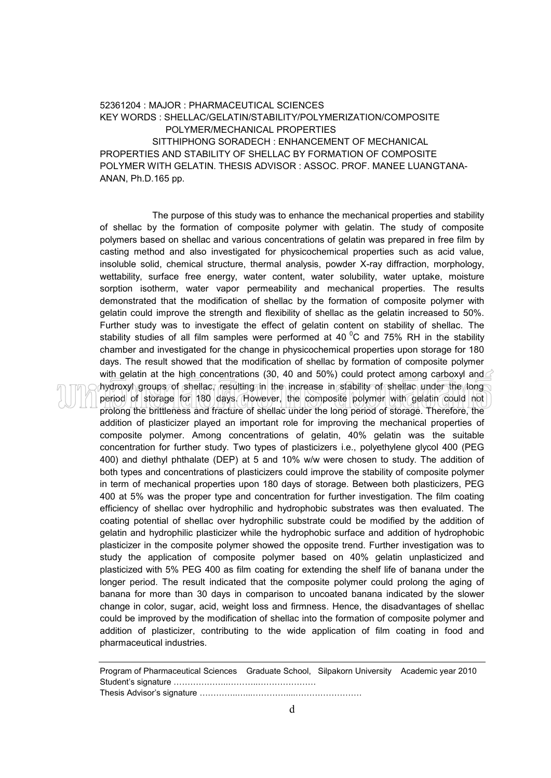## 52361204 : MAJOR : PHARMACEUTICAL SCIENCES KEY WORDS : SHELLAC/GELATIN/STABILITY/POLYMERIZATION/COMPOSITE POLYMER/MECHANICAL PROPERTIES SITTHIPHONG SORADECH : ENHANCEMENT OF MECHANICAL PROPERTIES AND STABILITY OF SHELLAC BY FORMATION OF COMPOSITE POLYMER WITH GELATIN. THESIS ADVISOR : ASSOC. PROF. MANEE LUANGTANA-ANAN, Ph.D.165 pp.

The purpose of this study was to enhance the mechanical properties and stability of shellac by the formation of composite polymer with gelatin. The study of composite polymers based on shellac and various concentrations of gelatin was prepared in free film by casting method and also investigated for physicochemical properties such as acid value, insoluble solid, chemical structure, thermal analysis, powder X-ray diffraction, morphology, wettability, surface free energy, water content, water solubility, water uptake, moisture sorption isotherm, water vapor permeability and mechanical properties. The results demonstrated that the modification of shellac by the formation of composite polymer with gelatin could improve the strength and flexibility of shellac as the gelatin increased to 50%. Further study was to investigate the effect of gelatin content on stability of shellac. The stability studies of all film samples were performed at 40 $\degree$ C and 75% RH in the stability chamber and investigated for the change in physicochemical properties upon storage for 180 days. The result showed that the modification of shellac by formation of composite polymer with gelatin at the high concentrations (30, 40 and 50%) could protect among carboxyl and hydroxyl groups of shellac, resulting in the increase in stability of shellac under the long period of storage for 180 days. However, the composite polymer with gelatin could not prolong the brittleness and fracture of shellac under the long period of storage. Therefore, the addition of plasticizer played an important role for improving the mechanical properties of composite polymer. Among concentrations of gelatin, 40% gelatin was the suitable concentration for further study. Two types of plasticizers i.e., polyethylene glycol 400 (PEG 400) and diethyl phthalate (DEP) at 5 and 10% w/w were chosen to study. The addition of both types and concentrations of plasticizers could improve the stability of composite polymer in term of mechanical properties upon 180 days of storage. Between both plasticizers, PEG 400 at 5% was the proper type and concentration for further investigation. The film coating efficiency of shellac over hydrophilic and hydrophobic substrates was then evaluated. The coating potential of shellac over hydrophilic substrate could be modified by the addition of gelatin and hydrophilic plasticizer while the hydrophobic surface and addition of hydrophobic plasticizer in the composite polymer showed the opposite trend. Further investigation was to study the application of composite polymer based on 40% gelatin unplasticized and plasticized with 5% PEG 400 as film coating for extending the shelf life of banana under the longer period. The result indicated that the composite polymer could prolong the aging of banana for more than 30 days in comparison to uncoated banana indicated by the slower change in color, sugar, acid, weight loss and firmness. Hence, the disadvantages of shellac could be improved by the modification of shellac into the formation of composite polymer and addition of plasticizer, contributing to the wide application of film coating in food and pharmaceutical industries.

Program of Pharmaceutical Sciences Graduate School, Silpakorn University Academic year 2010 Student's signature ………………..………..…………………

Thesis Advisor's signature …………..…...…………....……………………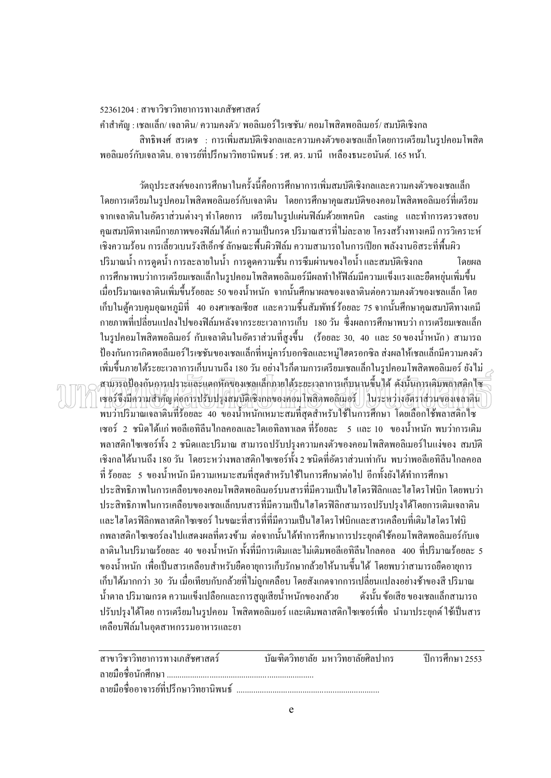52361204 : สาขาวิชาวิทยาการทางเภสัชศาสตร์

ค าส าคัญ : เชลแล็ก/ เจลาติน/ ความคงตัว/ พอลิเมอร์ไรเซชัน/ คอมโพสิตพอลิเมอร์/ สมบัติเชิงกล สิทธิพงศ์ สรเดช : การเพิ่มสมบัติเชิงกลและความคงตัวของเชลแล็กโดยการเตรียมในรูปคอมโพสิต พอลิเมอร์กับเจลาติน. อาจารย์ที่ปรึกษาวิทยานิพนธ์ : รศ. คร. มานี เหลืองธนะอนันต์. 165 หน้า.

วัตถุประสงค์ของการศึกษาในครั้งนี้คือการศึกษาการเพิ่มสมบัติเชิงกลและความคงตัวของเชลแล็ก โดยการเตรียมในรูปคอมโพสิตพอลิเมอร์กบเจลาติน ั โดยการศึกษาคุณสมบัติของคอมโพสิตพอลิเมอร์ที่เตรียม จากเจลาตินในอัตราส่วนต่างๆ ทำโดยการ เตรียมในรูปแผ่นฟิล์มด้วยเทคนิค casting และทำการตรวจสอบ ้ คุณสมบัติทางเคมีกายภาพของฟิล์มได้แก่ ความเป็นกรด ปริมาณสารที่ไม่ละลาย โครงสร้างทางเคมี การวิเคราะห์ ้เชิงความร้อน การเลี้ยวเบนรังสีเอ็กซ์ ลักษณะพื้นผิวฟิล์ม ความสามารถในการเปียก พลังงานอิสระที่พื้นผิว ้ ปริมาณน้ำ การดูดน้ำ การละลายในน้ำ การดูดความชื้น การซึมผ่านของไอน้ำ และสมบัติเชิงกล โดยผล ึ การศึกษาพบว่าการเตรียมเชลแล็กในรูปคอมโพสิตพอลิเมอร์มีผลทำให้ฟิล์มมีความแข็งแรงและยืดหยุ่นเพิ่มขึ้น เมื่อปริมาณเจลาตินเพิ่มขึ้นร้อยละ 50 ของน ้าหนัก จากนั้นศึกษาผลของเจลาตินต่อความคงตัวของเชลแล็ก โดย เก็บในตู้ควบคุมอุณหภูมิที่ 40 องศาเซลเซียส และความชื้นสัมพัทธ์ร้อยละ 75 จากนั้นศึกษาคุณสมบัติทางเคมี กายภาพที่เปลี่ยนแปลงไปของฟิ ล์มหลังจากระยะเวลาการเก็บ 180 วัน ซึ่งผลการศึกษาพบวา่ การเตรียมเชลแล็ก ในรูปคอมโพสิตพอลิเมอร์ กับเจลาตินในอัตราส่วนที่สูงขึ้น (ร้อยละ 30, 40 และ 50 ของน้ำหนัก) สามารถ ป้องกันการเกิดพอลีเมอร์ไรเซชันของเชลแล็กที่หมู่คาร์บอกซิลและหมู่ไฮดรอกซิล ส่งผลให้เชลแล็กมีความคงตัว ี่ เพิ่มขึ้นภายใต้ระยะเวลาการเก็บนานถึง 180 วัน อย่างไรก็ตามการเตรียมเชลแล็กในรูปคอมโพสิตพอลิเมอร์ ยังไม่ สามารถป้ องกนัการเปราะและแตกหักของเชลแล็กภายใต้ระยะเวลาการเก็บนานขึ้นได้ ดังนั้นการเติมพลาสติกไซ ี่ เซอร์จึงมีความสำคัญต่อการปรับปรุงสมบัติเชิงกลของคอมโพสิตพอลิเมอร์ ในระหว่างอัตราส่วนของเจลาติน พบวาปริมาณเจลาตินที่ร้อยละ ่ 40 ของน ้าหนักเหมาะสมที่สุดส าหรับใช้ในการศึกษา โดยเลือกใช้พลาสติกไซ ี เซอร์ 2 ชนิดได้แก่ พอลีเอทิลีนไกลคอลและไดเอทิลทาเลต ที่ร้อยละ 5 และ 10 ของน้ำหนัก พบว่าการเติม พลาสติกไซเซอร์ทั้ง 2 ชนิดและปริมาณ สามารถปรับปรุงความคงตัวของคอมโพสิตพอลิเมอร์ในแง่ของ สมบัติ ้ เชิงกลได้นานถึง 180 วัน โดยระหว่างพลาสติกไซเซอร์ทั้ง 2 ชนิดที่อัตราส่วนเท่ากัน พบว่าพอลีเอทิลีนไกลคอล ี่ที่ ร้อยละ 5 ของน้ำหนัก มีความเหมาะสมที่สุดสำหรับใช้ในการศึกษาต่อไป อีกทั้งยังได้ทำการศึกษา ประสิทธิภาพในการเคลือบของคอมโพสิตพอลิเมอร์บนสารที่มีความเป็นไฮโครฟิลิกและไฮโครโฟบิก โดยพบว่า ้ ประสิทธิภาพในการเคลือบของเชลแล็กบนสารที่มีความเป็นไฮโดรฟิลิกสามารถปรับปรุงได้โดยการเติมเจลาติน และไฮโดรฟิลิกพลาสติกไซเซอร์ ในขณะที่สารที่ที่มีความเป็นไฮโดรโฟบิกและสารเคลือบที่เติมไฮโดรโฟบิ ึกพลาสติกไซเซอร์ลงไปแสดงผลที่ตรงข้าม ต่อจากนั้นได้ทำการศึกษาการประยุกต์ใช้คอมโพสิตพอลิเมอร์กับเจ ิ ลาตินในปริมาณร้อยละ 40 ของน้ำหนัก ทั้งที่มีการเติมและไม่เติมพอลีเอทิลีนไกลคอล 400 ที่ปริมาณร้อยละ 5 ่ ของน้ำหนัก เพื่อเป็นสารเคลือบสำหรับยืดอายการเก็บรักษากล้วยให้นานขึ้นได้ โดยพบว่าสามารถยืดอายการ ่ เก็บได้มากกว่า 30 วัน เมื่อเทียบกับกล้วยที่ไม่ถกเคลือบ โดยสังเกตจากการเปลี่ยนแปลงอย่างช้าของสี ปริมาณ น ้าตาล ปริมาณกรด ความแข็งเปลือกและการสูญเสียน ้าหนักของกล้วย ดังนั้นข้อเสียของเชลแล็กสามารถ ู ปรับปรุงได้โดย การเตรียมในรปคอม โพสิตพอลิเมอร์ และเติมพลาสติกไซเซอร์เพื่อ นำมาประยุกต์ ใช้เป็นสาร เคลือบฟิ ล์มในอุตสาหกรรมอาหารและยา

| สาขาวิชาวิทยาการทางเภสัชศาสตร์        | บัณฑิตวิทยาลัย มหาวิทยาลัยศิลปากร | ปีการศึกษา 2553 |
|---------------------------------------|-----------------------------------|-----------------|
|                                       |                                   |                 |
| ลายมือชื่ออาจารย์ที่ปรึกษาวิทยานิพนธ์ |                                   |                 |